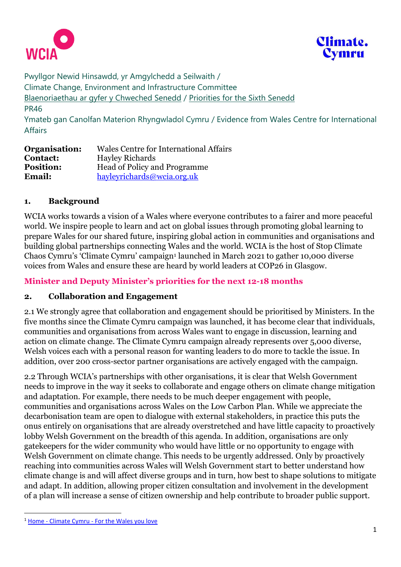



Pwyllgor Newid Hinsawdd, yr Amgylchedd a Seilwaith / Climate Change, Environment and Infrastructure Committee [Blaenoriaethau ar gyfer y Chweched Senedd](https://busnes.senedd.cymru/mgConsultationDisplay.aspx?id=427&RPID=1026452002&cp=yes) / Priorities [for the Sixth Senedd](https://business.senedd.wales/mgConsultationDisplay.aspx?id=427&RPID=1026452002&cp=yes) PR46 Ymateb gan Canolfan Materion Rhyngwladol Cymru / Evidence from Wales Centre for International Affairs

| Organisation:    | Wales Centre for International Affairs |
|------------------|----------------------------------------|
| <b>Contact:</b>  | <b>Hayley Richards</b>                 |
| <b>Position:</b> | <b>Head of Policy and Programme</b>    |
| <b>Email:</b>    | hayleyrichards@wcia.org.uk             |

## **1. Background**

WCIA works towards a vision of a Wales where everyone contributes to a fairer and more peaceful world. We inspire people to learn and act on global issues through promoting global learning to prepare Wales for our shared future, inspiring global action in communities and organisations and building global partnerships connecting Wales and the world. WCIA is the host of Stop Climate Chaos Cymru's 'Climate Cymru' campaign<sup>1</sup> launched in March 2021 to gather 10,000 diverse voices from Wales and ensure these are heard by world leaders at COP26 in Glasgow.

## **Minister and Deputy Minister's priorities for the next 12-18 months**

#### **2. Collaboration and Engagement**

2.1 We strongly agree that collaboration and engagement should be prioritised by Ministers. In the five months since the Climate Cymru campaign was launched, it has become clear that individuals, communities and organisations from across Wales want to engage in discussion, learning and action on climate change. The Climate Cymru campaign already represents over 5,000 diverse, Welsh voices each with a personal reason for wanting leaders to do more to tackle the issue. In addition, over 200 cross-sector partner organisations are actively engaged with the campaign.

2.2 Through WCIA's partnerships with other organisations, it is clear that Welsh Government needs to improve in the way it seeks to collaborate and engage others on climate change mitigation and adaptation. For example, there needs to be much deeper engagement with people, communities and organisations across Wales on the Low Carbon Plan. While we appreciate the decarbonisation team are open to dialogue with external stakeholders, in practice this puts the onus entirely on organisations that are already overstretched and have little capacity to proactively lobby Welsh Government on the breadth of this agenda. In addition, organisations are only gatekeepers for the wider community who would have little or no opportunity to engage with Welsh Government on climate change. This needs to be urgently addressed. Only by proactively reaching into communities across Wales will Welsh Government start to better understand how climate change is and will affect diverse groups and in turn, how best to shape solutions to mitigate and adapt. In addition, allowing proper citizen consultation and involvement in the development of a plan will increase a sense of citizen ownership and help contribute to broader public support.

<sup>1</sup> Home - Climate Cymru - [For the Wales you love](https://climate.cymru/)